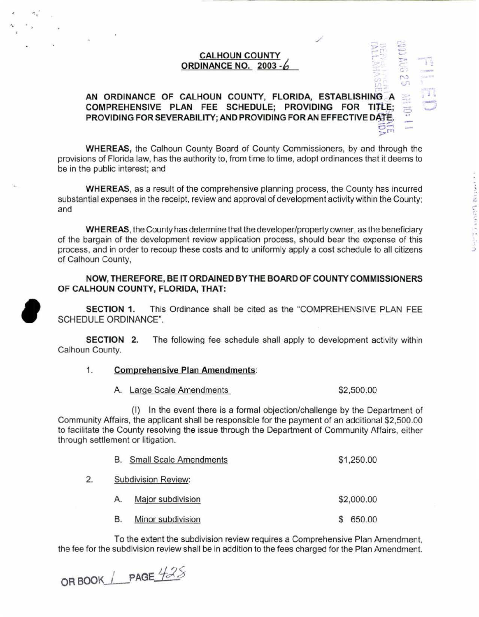# **CALHOUN COUNTY ORDINANCE NO. 2003 -6**

/

c.:~

 $^{\circ}$ 

**11**<br>D

.- *c;* 

# **AN ORDINANCE OF CALHOUN COUNTY, FLORIDA, ESTABLISHING** A **COMPREHENSIVE PLAN FEE SCHEDULE; PROVIDING FOR TITLE; PROVIDING FOR SEVERABILITY; AND PROVIDING FOR AN EFFECTIVE DATE.**<br>25  $\sim$ fT)

**WHEREAS,** the Calhoun County Board of County Commissioners, by and through the provisions of Florida law, has the authority to, from time to time, adopt ordinances that it deems to be in the public interest; and

**WHEREAS,** as a result of the comprehensive planning process, the County has incurred substantial expenses in the receipt, review and approval of development activity within the County; and

**WHEREAS,** the County has determine that the developer/property owner, as the beneficiary of the bargain of the development review application process, should bear the expense of this process, and in order to recoup these costs and to uniformly apply a cost schedule to all citizens of Calhoun County,

### **NOW, THEREFORE, BE IT ORDAINED BY THE BOARD OF COUNTY COMMISSIONERS OF CALHOUN COUNTY, FLORIDA, THAT:**

**SECTION 1.** This Ordinance shall be cited as the "COMPREHENSIVE PLAN FEE SCHEDULE ORDINANCE".

**SECTION 2.** The following fee schedule shall apply to development activity within Calhoun County.

### 1. **Comprehensive Plan Amendments:**

A. Large Scale Amendments \$2,500.00

(I) In the event there is a formal objection/challenge by the Department of Community Affairs, the applicant shall be responsible for the payment of an additional \$2,500.00 to facilitate the County resolving the issue through the Department of Community Affairs, either through settlement or litigation.

|    | <b>Small Scale Amendments</b><br>В. | \$1,250.00 |  |  |  |  |
|----|-------------------------------------|------------|--|--|--|--|
| 2. | <b>Subdivision Review:</b>          |            |  |  |  |  |
|    | Major subdivision<br>Α.             | \$2,000.00 |  |  |  |  |
|    | Minor subdivision<br>В.             | 650.00     |  |  |  |  |

To the extent the subdivision review requires a Comprehensive Plan Amendment, the fee for the subdivision review shall be in addition to the fees charged for the Plan Amendment.

**OR BOOK | PAGE**  $425$ 

..

**'**